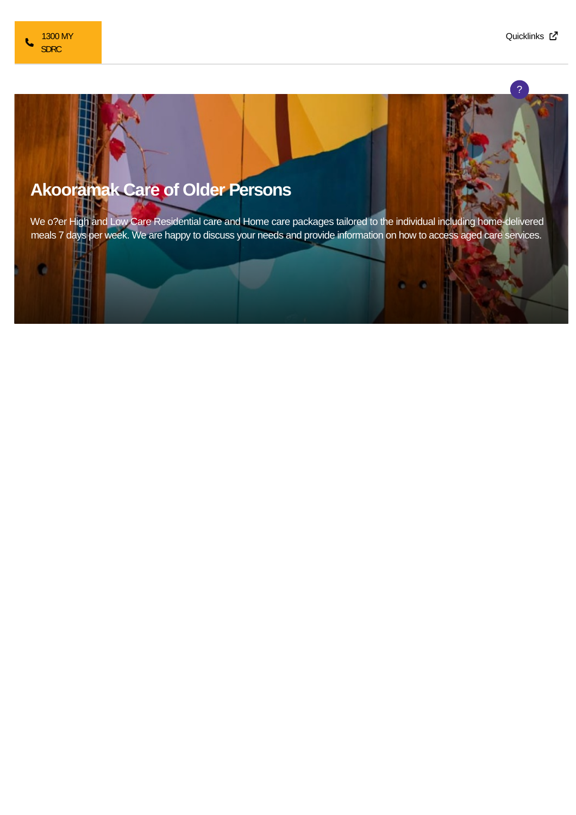c

?

## **Akooramak Care of Older Persons**

We o?er High and Low Care Residential care and Home care packages tailored to the individual including home-delivered meals 7 days per week. We are happy to discuss your needs and provide information on how to access aged care services.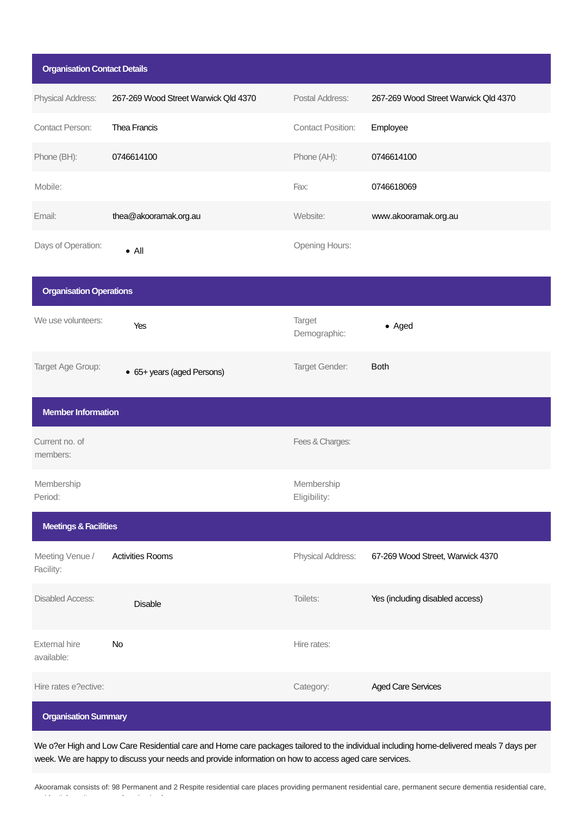| <b>Organisation Contact Details</b> |                                      |                            |                                      |
|-------------------------------------|--------------------------------------|----------------------------|--------------------------------------|
| Physical Address:                   | 267-269 Wood Street Warwick Qld 4370 | Postal Address:            | 267-269 Wood Street Warwick Qld 4370 |
| <b>Contact Person:</b>              | Thea Francis                         | <b>Contact Position:</b>   | Employee                             |
| Phone (BH):                         | 0746614100                           | Phone (AH):                | 0746614100                           |
| Mobile:                             |                                      | Fax:                       | 0746618069                           |
| Email:                              | thea@akooramak.org.au                | Website:                   | www.akooramak.org.au                 |
| Days of Operation:                  | $\bullet$ All                        | Opening Hours:             |                                      |
| <b>Organisation Operations</b>      |                                      |                            |                                      |
| We use volunteers:                  | Yes                                  | Target<br>Demographic:     | • Aged                               |
| Target Age Group:                   | • 65+ years (aged Persons)           | Target Gender:             | <b>Both</b>                          |
| <b>Member Information</b>           |                                      |                            |                                      |
| Current no. of<br>members:          |                                      | Fees & Charges:            |                                      |
| Membership<br>Period:               |                                      | Membership<br>Eligibility: |                                      |
| <b>Meetings &amp; Facilities</b>    |                                      |                            |                                      |
| Meeting Venue /<br>Facility:        | <b>Activities Rooms</b>              | Physical Address:          | 67-269 Wood Street, Warwick 4370     |
| <b>Disabled Access:</b>             | <b>Disable</b>                       | Toilets:                   | Yes (including disabled access)      |
| <b>External hire</b><br>available:  | No                                   | Hire rates:                |                                      |
| Hire rates e?ective:                |                                      | Category:                  | <b>Aged Care Services</b>            |
| <b>Organisation Summary</b>         |                                      |                            |                                      |

We o?er High and Low Care Residential care and Home care packages tailored to the individual including home-delivered meals 7 days per week. We are happy to discuss your needs and provide information on how to access aged care services.